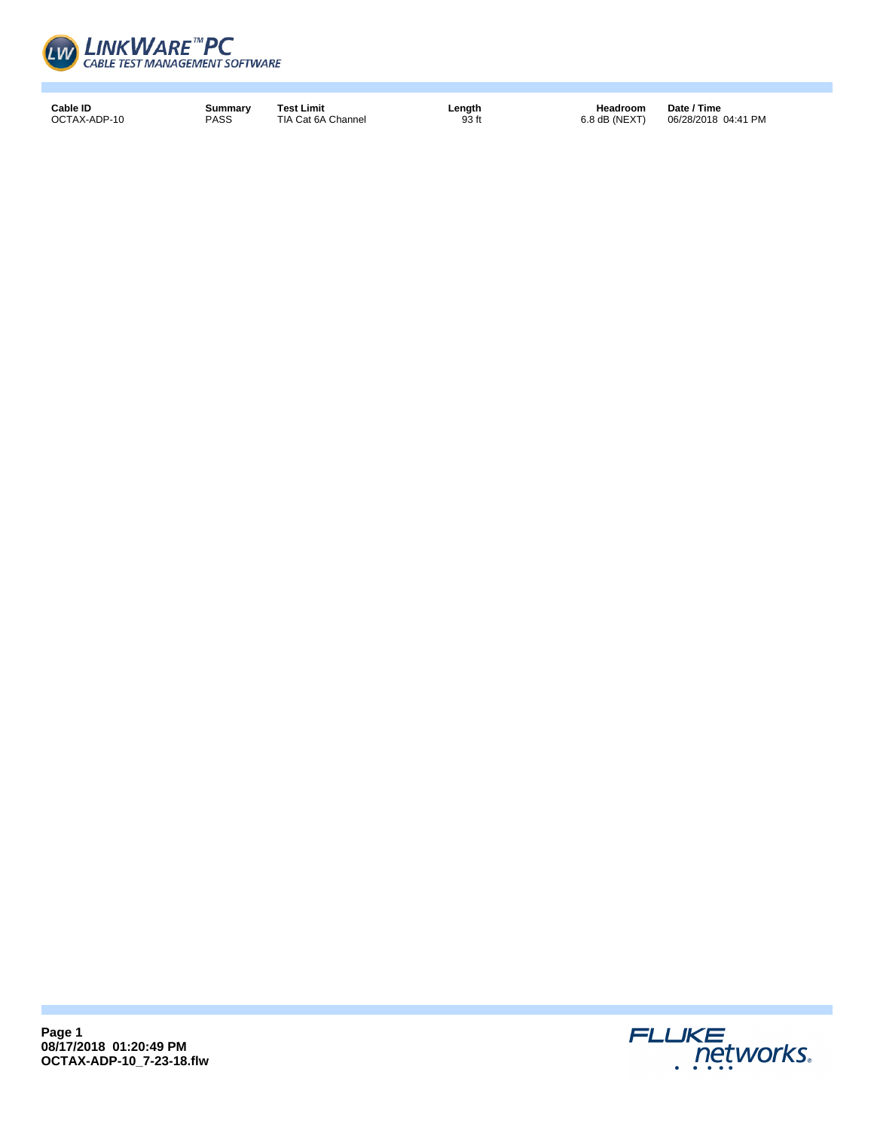

**Cable ID Summary Test Limit Length Length Headroom**<br> **DCTAX-ADP-10 PASS TIA Cat 6A Channel Date in the additional 93 ft 1 6.8 dB** (NEXT)

Date / Time<br>06/28/2018 04:41 PM

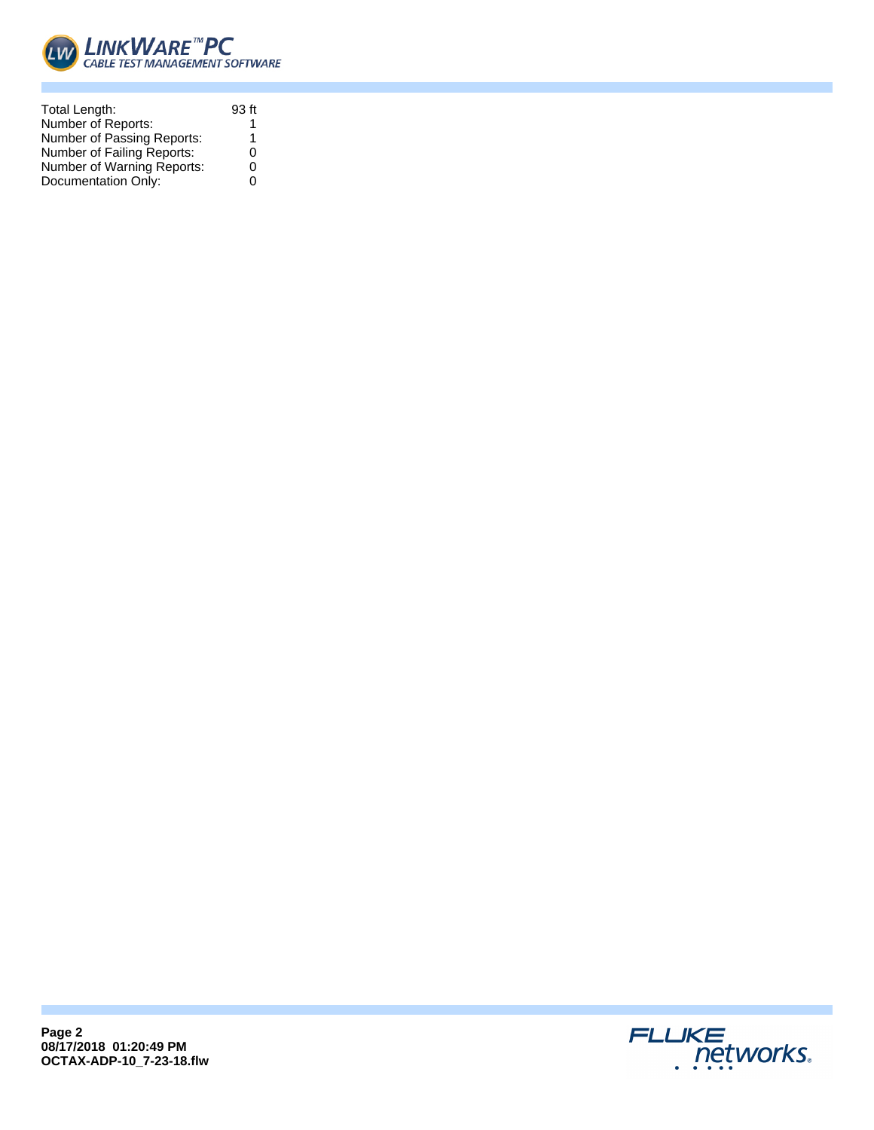

| Total Length:              | 93 ft |
|----------------------------|-------|
| Number of Reports:         |       |
| Number of Passing Reports: | 1     |
| Number of Failing Reports: | 0     |
| Number of Warning Reports: | 0     |
| Documentation Only:        | ∩     |